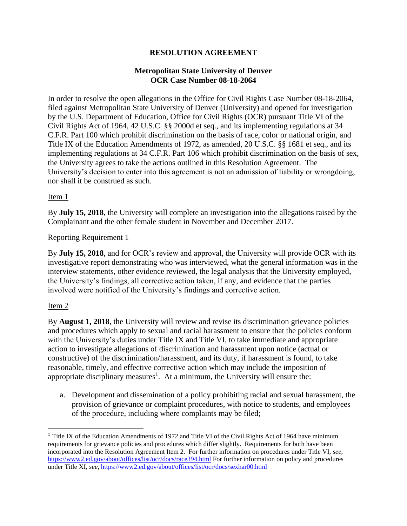# **RESOLUTION AGREEMENT**

### **Metropolitan State University of Denver OCR Case Number 08-18-2064**

In order to resolve the open allegations in the Office for Civil Rights Case Number 08-18-2064, filed against Metropolitan State University of Denver (University) and opened for investigation by the U.S. Department of Education, Office for Civil Rights (OCR) pursuant Title VI of the Civil Rights Act of 1964, 42 U.S.C. §§ 2000d et seq., and its implementing regulations at 34 C.F.R. Part 100 which prohibit discrimination on the basis of race, color or national origin, and Title IX of the Education Amendments of 1972, as amended, 20 U.S.C. §§ 1681 et seq., and its implementing regulations at 34 C.F.R. Part 106 which prohibit discrimination on the basis of sex, the University agrees to take the actions outlined in this Resolution Agreement. The University's decision to enter into this agreement is not an admission of liability or wrongdoing, nor shall it be construed as such.

# Item 1

By **July 15, 2018**, the University will complete an investigation into the allegations raised by the Complainant and the other female student in November and December 2017.

### Reporting Requirement 1

By **July 15, 2018**, and for OCR's review and approval, the University will provide OCR with its investigative report demonstrating who was interviewed, what the general information was in the interview statements, other evidence reviewed, the legal analysis that the University employed, the University's findings, all corrective action taken, if any, and evidence that the parties involved were notified of the University's findings and corrective action.

# Item 2

 $\overline{\phantom{a}}$ 

By **August 1, 2018**, the University will review and revise its discrimination grievance policies and procedures which apply to sexual and racial harassment to ensure that the policies conform with the University's duties under Title IX and Title VI, to take immediate and appropriate action to investigate allegations of discrimination and harassment upon notice (actual or constructive) of the discrimination/harassment, and its duty, if harassment is found, to take reasonable, timely, and effective corrective action which may include the imposition of appropriate disciplinary measures<sup>1</sup>. At a minimum, the University will ensure the:

a. Development and dissemination of a policy prohibiting racial and sexual harassment, the provision of grievance or complaint procedures, with notice to students, and employees of the procedure, including where complaints may be filed;

<sup>1</sup> Title IX of the Education Amendments of 1972 and Title VI of the Civil Rights Act of 1964 have minimum requirements for grievance policies and procedures which differ slightly. Requirements for both have been incorporated into the Resolution Agreement Item 2. For further information on procedures under Title VI, *see*, <https://www2.ed.gov/about/offices/list/ocr/docs/race394.html> For further information on policy and procedures under Title XI, *see*,<https://www2.ed.gov/about/offices/list/ocr/docs/sexhar00.html>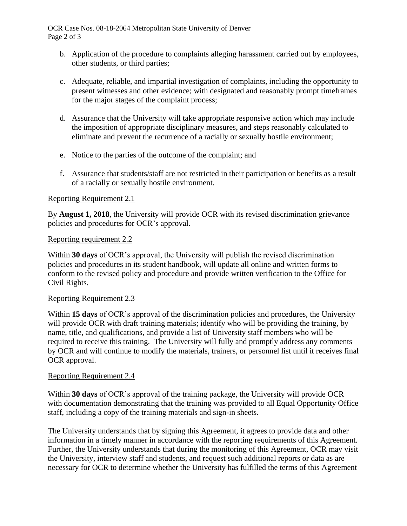OCR Case Nos. 08-18-2064 Metropolitan State University of Denver Page 2 of 3

- b. Application of the procedure to complaints alleging harassment carried out by employees, other students, or third parties;
- c. Adequate, reliable, and impartial investigation of complaints, including the opportunity to present witnesses and other evidence; with designated and reasonably prompt timeframes for the major stages of the complaint process;
- d. Assurance that the University will take appropriate responsive action which may include the imposition of appropriate disciplinary measures, and steps reasonably calculated to eliminate and prevent the recurrence of a racially or sexually hostile environment;
- e. Notice to the parties of the outcome of the complaint; and
- f. Assurance that students/staff are not restricted in their participation or benefits as a result of a racially or sexually hostile environment.

### Reporting Requirement 2.1

By **August 1, 2018**, the University will provide OCR with its revised discrimination grievance policies and procedures for OCR's approval.

### Reporting requirement 2.2

Within **30 days** of OCR's approval, the University will publish the revised discrimination policies and procedures in its student handbook, will update all online and written forms to conform to the revised policy and procedure and provide written verification to the Office for Civil Rights.

### Reporting Requirement 2.3

Within **15 days** of OCR's approval of the discrimination policies and procedures, the University will provide OCR with draft training materials; identify who will be providing the training, by name, title, and qualifications, and provide a list of University staff members who will be required to receive this training. The University will fully and promptly address any comments by OCR and will continue to modify the materials, trainers, or personnel list until it receives final OCR approval.

### Reporting Requirement 2.4

Within **30 days** of OCR's approval of the training package, the University will provide OCR with documentation demonstrating that the training was provided to all Equal Opportunity Office staff, including a copy of the training materials and sign-in sheets.

The University understands that by signing this Agreement, it agrees to provide data and other information in a timely manner in accordance with the reporting requirements of this Agreement. Further, the University understands that during the monitoring of this Agreement, OCR may visit the University, interview staff and students, and request such additional reports or data as are necessary for OCR to determine whether the University has fulfilled the terms of this Agreement